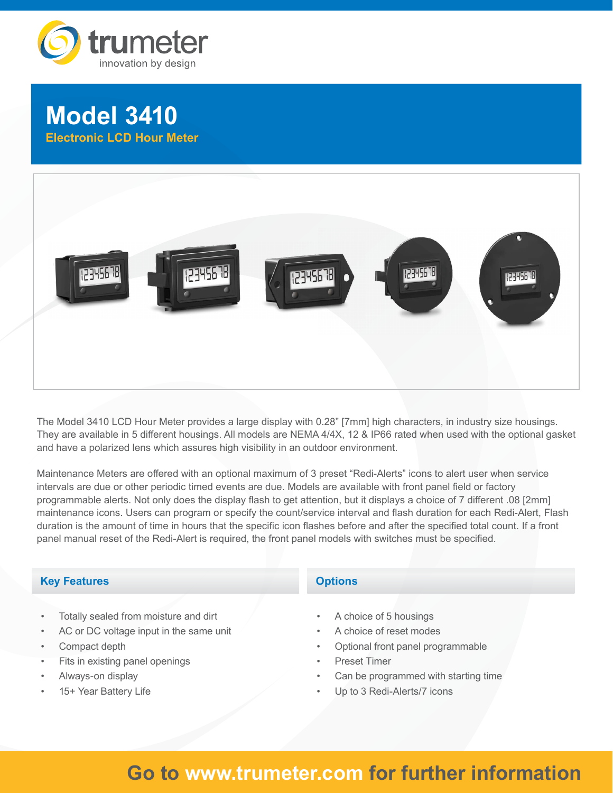



The Model 3410 LCD Hour Meter provides a large display with 0.28" [7mm] high characters, in industry size housings. They are available in 5 different housings. All models are NEMA 4/4X, 12 & IP66 rated when used with the optional gasket and have a polarized lens which assures high visibility in an outdoor environment.

Maintenance Meters are offered with an optional maximum of 3 preset "Redi-Alerts" icons to alert user when service intervals are due or other periodic timed events are due. Models are available with front panel field or factory programmable alerts. Not only does the display flash to get attention, but it displays a choice of 7 different .08 [2mm] maintenance icons. Users can program or specify the count/service interval and flash duration for each Redi-Alert, Flash duration is the amount of time in hours that the specific icon flashes before and after the specified total count. If a front panel manual reset of the Redi-Alert is required, the front panel models with switches must be specified.

# **Key Features**

- Totally sealed from moisture and dirt
- AC or DC voltage input in the same unit
- Compact depth
- Fits in existing panel openings
- Always-on display
- 15+ Year Battery Life

# **Options**

- A choice of 5 housings
- A choice of reset modes
- Optional front panel programmable
- Preset Timer
- Can be programmed with starting time
- Up to 3 Redi-Alerts/7 icons

# **Go to www.trumeter.com for further information**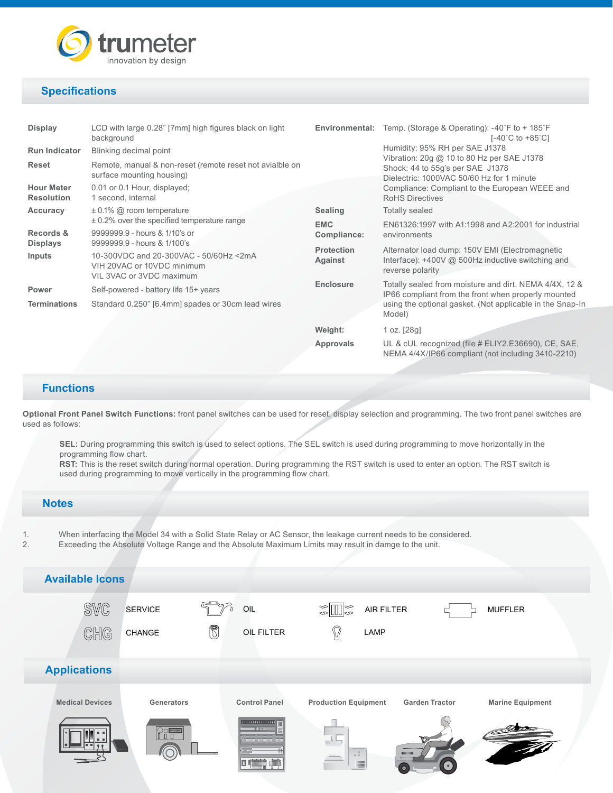

# **Specifications**

| <b>Display</b>                         | LCD with large 0.28" [7mm] high figures black on light<br>background                                                            |                              | <b>Environmental:</b> Temp. (Storage & Operating): $-40^{\circ}$ F to $+185^{\circ}$ F<br>$[-40^{\circ}C \text{ to } +85^{\circ}C]$ |
|----------------------------------------|---------------------------------------------------------------------------------------------------------------------------------|------------------------------|-------------------------------------------------------------------------------------------------------------------------------------|
| <b>Run Indicator</b>                   | Blinking decimal point                                                                                                          |                              | Humidity: 95% RH per SAE J1378                                                                                                      |
| <b>Reset</b>                           | Remote, manual & non-reset (remote reset not avialble on<br>surface mounting housing)                                           |                              | Vibration: 20g @ 10 to 80 Hz per SAE J1378<br>Shock: 44 to 55g's per SAE J1378<br>Dielectric: 1000VAC 50/60 Hz for 1 minute         |
| <b>Hour Meter</b><br><b>Resolution</b> | 0.01 or 0.1 Hour, displayed;<br>1 second, internal                                                                              |                              | Compliance: Compliant to the European WEEE and<br><b>RoHS Directives</b>                                                            |
| Accuracy                               | $\pm$ 0.1% @ room temperature                                                                                                   | <b>Sealing</b>               | <b>Totally sealed</b>                                                                                                               |
|                                        | $\pm$ 0.2% over the specified temperature range                                                                                 | <b>EMC</b>                   | EN61326:1997 with A1:1998 and A2:2001 for industrial                                                                                |
| Records &                              | 9999999.9 - hours & 1/10's or                                                                                                   | Compliance:                  | environments                                                                                                                        |
| <b>Displays</b><br><b>Inputs</b>       | 9999999.9 - hours & 1/100's<br>10-300VDC and 20-300VAC - 50/60Hz <2mA<br>VIH 20VAC or 10VDC minimum<br>VIL 3VAC or 3VDC maximum | <b>Protection</b><br>Against | Alternator load dump: 150V EMI (Electromagnetic<br>Interface): +400V @ 500Hz inductive switching and<br>reverse polarity            |
| Power                                  | Self-powered - battery life 15+ years                                                                                           | <b>Enclosure</b>             | Totally sealed from moisture and dirt. NEMA 4/4X, 12 &<br>IP66 compliant from the front when properly mounted                       |
| <b>Terminations</b>                    | Standard 0.250" [6.4mm] spades or 30cm lead wires                                                                               |                              | using the optional gasket. (Not applicable in the Snap-In<br>Model)                                                                 |
|                                        |                                                                                                                                 | Weight:                      | 1 oz. $[28g]$                                                                                                                       |
|                                        |                                                                                                                                 | Approvals                    | UL & cUL recognized (file # ELIY2.E36690), CE, SAE,<br>NEMA 4/4X/IP66 compliant (not including 3410-2210)                           |

# **Functions**

**Optional Front Panel Switch Functions:** front panel switches can be used for reset, display selection and programming. The two front panel switches are used as follows:

**SEL:** During programming this switch is used to select options. The SEL switch is used during programming to move horizontally in the programming flow chart.

**RST:** This is the reset switch during normal operation. During programming the RST switch is used to enter an option. The RST switch is used during programming to move vertically in the programming flow chart.

## **Notes**

- 1. When interfacing the Model 34 with a Solid State Relay or AC Sensor, the leakage current needs to be considered.<br>2. Exceeding the Absolute Voltage Range and the Absolute Maximum Limits may result in damge to the unit.
	- 2. Exceeding the Absolute Voltage Range and the Absolute Maximum Limits may result in damge to the unit.